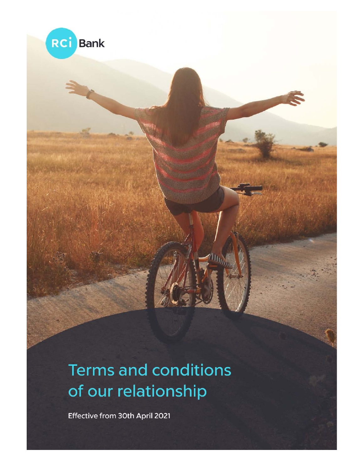



Effective from 30th April 2021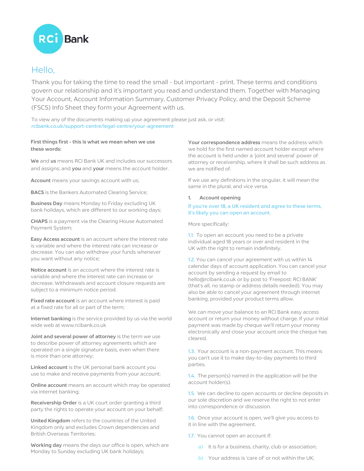

# Hello,

Thank you for taking the time to read the small - but important - print. These terms and conditions govern our relationship and it's important you read and understand them. Together with Managing Your Account, Account Information Summary, Customer Privacy Policy, and the Deposit Scheme (FSCS) Info Sheet they form your Agreement with us.

To view any of the documents making up your agreement please just ask, or visit: rcibank.co.uk/support-centre/legal-centre/your-agreement

# First things first - this is what we mean when we use these words:

We and us means RCI Bank UK and includes our successors and assigns; and you and your means the account holder.

Account means your savings account with us;

**BACS** is the Bankers Automated Clearing Service;

**Business Day** means Monday to Friday excluding UK bank holidays, which are different to our working days;

CHAPS is a payment via the Clearing House Automated Payment System;

Easy Access account is an account where the interest rate is variable and where the interest rate can increase or decrease. You can also withdraw your funds whenever you want without any notice;

Notice account is an account where the interest rate is variable and where the interest rate can increase or decrease. Withdrawals and account closure requests are subject to a minimum notice period.

Fixed rate account is an account where interest is paid at a fixed rate for all or part of the term;

Internet banking is the service provided by us via the world wide web at www.rcibank.co.uk

Joint and several power of attorney is the term we use to describe power of attorney agreements which are operated on a single signature basis, even when there is more than one attorney;

Linked account is the UK personal bank account you use to make and receive payments from your account;

**Online account** means an account which may be operated via internet banking;

Receivership Order is a UK court order granting a third party the rights to operate your account on your behalf;

United Kingdom refers to the countries of the United Kingdom only and excludes Crown dependencies and British Overseas Territories;

Working day means the days our office is open, which are Monday to Sunday excluding UK bank holidays;

Your correspondence address means the address which we hold for the first named account holder except where the account is held under a 'joint and several' power of attorney or receivership, where it shall be such address as we are notified of.

If we use any definitions in the singular, it will mean the same in the plural, and vice versa.

## 1. Account opening

## If you're over 18, a UK resident and agree to these terms, it's likely you can open an account.

More specifically:

1.1. To open an account you need to be a private individual aged 18 years or over and resident in the UK with the right to remain indefinitely.

1.2. You can cancel your agreement with us within 14 calendar days of account application. You can cancel your account by sending a request by email to hello@rcibank.co.uk or by post to 'Freepost: RCI BANK' (that's all, no stamp or address details needed). You may also be able to cancel your agreement through internet banking, provided your product terms allow.

We can move your balance to an RCI Bank easy access account or return your money without charge. If your initial payment was made by cheque we'll return your money electronically and close your account once the cheque has cleared.

1.3. Your account is a non-payment account. This means you can't use it to make day-to-day payments to third parties.

1.4. The person(s) named in the application will be the account holder(s).

1.5. We can decline to open accounts or decline deposits in our sole discretion and we reserve the right to not enter into correspondence or discussion.

1.6. Once your account is open, we'll give you access to it in line with the agreement.

- 1.7. You cannot open an account if:
	- a) It is for a business, charity, club or association;
	- b) Your address is 'care of' or not within the UK;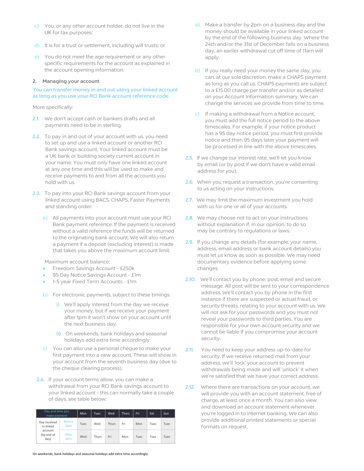- c) You, or any other account holder, do not live in the UK for tax purposes;
- d) It is for a trust or settlement, including will trusts; or
- e) You do not meet the age requirement or any other specific requirements for the account as explained in the account opening information.

### 2. Managing your account

You can transfer money in and out using your linked account as long as you use your RCI Bank account reference code.

More specifically:

- 2.1. We don't accept cash or bankers drafts and all payments need to be in sterling.
- 2.2. To pay in and out of your account with us, you need to set up and use a linked account or another RCI Bank savings account. Your linked account must be a UK bank or building society current account in your name. You must only have one linked account at any one time and this will be used to make and receive payments to and from all the accounts you hold with us.
- 2.3. To pay into your RCI Bank savings account from your linked account using BACS, CHAPS, Faster Payments and standing order:
	- a) All payments into your account must use your RCI Bank payment reference. If the payment is received without a valid reference the funds will be returned to the originating bank account. We will also return a payment if a deposit (excluding interest) is made that takes you above the maximum account limit.

Maximum account balance:

- Freedom Savings Account £250k
- 95 Day Notice Savings Account £1m
- 1-5 year Fixed Term Accounts £1m
- b) For electronic payments, subject to these timings:
	- i) We'll apply interest from the day we receive your money, but if we receive your payment after 1pm it won't show on your account until the next business day.
	- ii) On weekends, bank holidays and seasonal holidays add extra time accordingly.
- c) You can also use a personal cheque to make your first payment into a new account. These will show in your account from the seventh business day (due to the cheque clearing process).
- 2.4. If your account terms allow, you can make a withdrawal from your RCI Bank savings account to your linked account - this can normally take a couple of days, see table below:

| Day and time you<br>make payment                           |                      | Mon  | Tues. | Wed   | <b>Thurs</b> | Fri  | Sat  | Sun  |
|------------------------------------------------------------|----------------------|------|-------|-------|--------------|------|------|------|
| Day received<br>in linked<br>account<br>(by end of<br>day) | <b>Before</b><br>2pm | Tues | Wed   | Thurs | Fri          | Mon  | Tues | Tues |
|                                                            | After<br>2pm         | Wed  | Thurs | Fri   | Mon          | Tues | Tues | Tues |

- a) Make a transfer by 2pm on a business day and the money should be available in your linked account by the end of the following business day. Where the 24th and/or the 31st of December falls on a business day, an earlier withdrawal cut off time of 11am will apply.
- b) If you really need your money the same day, you can, at our sole discretion, make a CHAPS payment as long as you call us. CHAPS payments are subject to a £15.00 charge per transfer and/or as detailed on your Account Information summary. We can change the services we provide from time to time.
- c) If making a withdrawal from a Notice account, you must add the full notice period to the above timescales. For example, if your notice product has a 95 day notice period, you must first provide notice and then 95 days later your payment will be processed in line with the above timescales.
- 2.5. If we change our interest rate, we'll let you know by email (or by post if we don't have a valid email address for you).
- 2.6. When you request a transaction, you're consenting to us acting on your instructions.
- 2.7. We may limit the maximum investment you hold with us for one or all of your accounts.
- 2.8. We may choose not to act on your instructions without explanation if, in our opinion, to do so may be contrary to regulations or laws.
- 2.9. If you change any details (for example, your name, address, email address or bank account details) you must let us know as soon as possible. We may need documentary evidence before applying some changes.
- 2.10. We'll contact you by phone, post, email and secure message. All post will be sent to your correspondence address. We'll contact you by phone in the first instance if there are suspected or actual fraud, or security threats, relating to your account with us. We will not ask for your passwords and you must not reveal your passwords to third parties. You are responsible for your own account security and we cannot be liable if you compromise your account security.
- 2.11. You need to keep your address up-to-date for security. If we receive returned mail from your address, we'll 'lock' your account to prevent withdrawals being made and will 'unlock' it when we're satisfied that we have your correct address.
- 2.12. Where there are transactions on your account, we will provide you with an account statement, free of charge, at least once a month. You can also view and download an account statement whenever you're logged in to internet banking. We can also provide additional printed statements or special formats on request.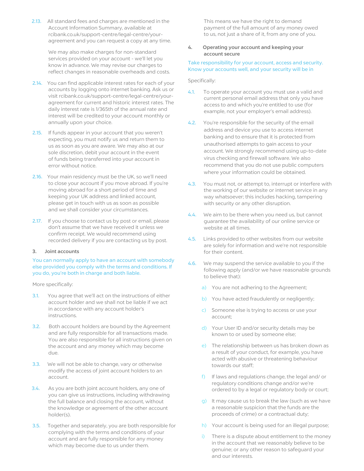2.13. All standard fees and charges are mentioned in the Account Information Summary, available at rcibank.co.uk/support-centre/legal-centre/youragreement and you can request a copy at any time.

> We may also make charges for non-standard services provided on your account - we'll let you know in advance. We may revise our charges to reflect changes in reasonable overheads and costs.

- 2.14. You can find applicable interest rates for each of your accounts by logging onto internet banking. Ask us or visit rcibank.co.uk/support-centre/legal-centre/youragreement for current and historic interest rates. The daily interest rate is 1/365th of the annual rate and interest will be credited to your account monthly or annually upon your choice.
- 2.15. If funds appear in your account that you weren't expecting, you must notify us and return them to us as soon as you are aware. We may also at our sole discretion, debit your account in the event of funds being transferred into your account in error without notice.
- 2.16. Your main residency must be the UK, so we'll need to close your account if you move abroad. If you're moving abroad for a short period of time and keeping your UK address and linked account, please get in touch with us as soon as possible and we shall consider your circumstances.
- 2.17. If you choose to contact us by post or email, please don't assume that we have received it unless we confirm receipt. We would recommend using recorded delivery if you are contacting us by post.

#### 3. Joint accounts

## You can normally apply to have an account with somebody else provided you comply with the terms and conditions. If you do, you're both in charge and both liable.

More specifically:

- 3.1. You agree that we'll act on the instructions of either account holder and we shall not be liable if we act in accordance with any account holder's instructions.
- 3.2. Both account holders are bound by the Agreement and are fully responsible for all transactions made. You are also responsible for all instructions given on the account and any money which may become due.
- 3.3. We will not be able to change, vary or otherwise modify the access of joint account holders to an account.
- 3.4. As you are both joint account holders, any one of you can give us instructions, including withdrawing the full balance and closing the account, without the knowledge or agreement of the other account holder(s).
- 3.5. Together and separately, you are both responsible for complying with the terms and conditions of your account and are fully responsible for any money which may become due to us under them.

This means we have the right to demand payment of the full amount of any money owed to us, not just a share of it, from any one of you.

# 4. Operating your account and keeping your account secure

## Take responsibility for your account, access and security. Know your accounts well, and your security will be in

Specifically:

- 4.1. To operate your account you must use a valid and current personal email address that only you have access to and which you're entitled to use (for example, not your employer's email address).
- 4.2. You're responsible for the security of the email address and device you use to access internet banking and to ensure that it is protected from unauthorised attempts to gain access to your account. We strongly recommend using up-to-date virus checking and firewall software. We also recommend that you do not use public computers where your information could be obtained.
- 4.3. You must not, or attempt to, interrupt or interfere with the working of our website or internet service in any way whatsoever; this includes hacking, tampering with security or any other disruption.
- 4.4. We aim to be there when you need us, but cannot guarantee the availability of our online service or website at all times.
- 4.5. Links provided to other websites from our website are solely for information and we're not responsible for their content.
- 4.6. We may suspend the service available to you if the following apply (and/or we have reasonable grounds to believe that):
	- a) You are not adhering to the Agreement;
	- b) You have acted fraudulently or negligently;
	- c) Someone else is trying to access or use your account;
	- d) Your User ID and/or security details may be known to or used by someone else;
	- e) The relationship between us has broken down as a result of your conduct, for example, you have acted with abusive or threatening behaviour towards our staff;
	- f) If laws and regulations change, the legal and/ or regulatory conditions change and/or we're ordered to by a legal or regulatory body or court;
	- g) It may cause us to break the law (such as we have a reasonable suspicion that the funds are the proceeds of crime) or a contractual duty;
	- h) Your account is being used for an illegal purpose;
	- i) There is a dispute about entitlement to the money in the account that we reasonably believe to be genuine; or any other reason to safeguard your and our interests.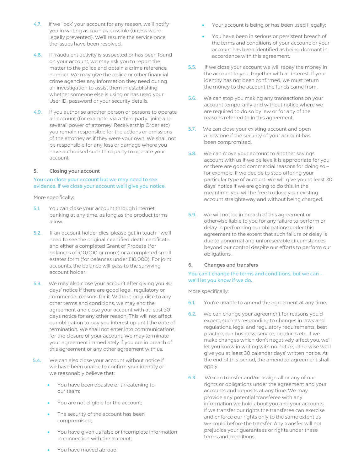- 4.7. If we 'lock' your account for any reason, we'll notify you in writing as soon as possible (unless we're legally prevented). We'll resume the service once the issues have been resolved.
- 4.8. If fraudulent activity is suspected or has been found on your account, we may ask you to report the matter to the police and obtain a crime reference number. We may give the police or other financial crime agencies any information they need during an investigation to assist them in establishing whether someone else is using or has used your User ID, password or your security details.
- 4.9. If you authorise another person or persons to operate an account (for example, via a third party, 'joint and several' power of attorney, Receivership Order etc) you remain responsible for the actions or omissions of the attorney as if they were your own. We shall not be responsible for any loss or damage where you have authorised such third party to operate your account.

#### 5. Closing your account

You can close your account but we may need to see evidence. If we close your account we'll give you notice.

More specifically:

- 5.1. You can close your account through internet banking at any time, as long as the product terms allow.
- 5.2. If an account holder dies, please get in touch we'll need to see the original / certified death certificate and either a completed Grant of Probate (for balances of £10,000 or more) or a completed small estates form (for balances under £10,000). For joint accounts, the balance will pass to the surviving account holder.
- 5.3. We may also close your account after giving you 30 days' notice if there are good legal, regulatory or commercial reasons for it. Without prejudice to any other terms and conditions, we may end the agreement and close your account with at least 30 days notice for any other reason. This will not affect our obligation to pay you interest up until the date of termination. We shall not enter into communications for the closure of your account. We may terminate your agreement immediately if you are in breach of this agreement or any other agreement with us.
- 5.4. We can also close your account without notice if we have been unable to confirm your identity or we reasonably believe that:
	- You have been abusive or threatening to our team;
	- You are not eligible for the account;
	- The security of the account has been compromised;
	- You have given us false or incomplete information in connection with the account;
- Your account is being or has been used illegally;
- You have been in serious or persistent breach of the terms and conditions of your account; or your account has been identified as being dormant in accordance with this agreement.
- 5.5. If we close your account we will repay the money in the account to you, together with all interest. If your identity has not been confirmed, we must return the money to the account the funds came from.
- 5.6. We can stop you making any transactions on your account temporarily and without notice where we are required to do so by law or for any of the reasons referred to in this agreement.
- 5.7. We can close your existing account and open a new one if the security of your account has been compromised.
- 5.8. We can move your account to another savings account with us if we believe it is appropriate for you or there are good commercial reasons for doing so – for example, if we decide to stop offering your particular type of account. We will give you at least 30 days' notice if we are going to do this. In the meantime, you will be free to close your existing account straightaway and without being charged.
- 5.9. We will not be in breach of this agreement or otherwise liable to you for any failure to perform or delay in performing our obligations under this agreement to the extent that such failure or delay is due to abnormal and unforeseeable circumstances beyond our control despite our efforts to perform our obligations.

#### 6. Changes and transfers

## You can't change the terms and conditions, but we can we'll let you know if we do.

More specifically:

- 6.1. You're unable to amend the agreement at any time.
- 6.2. We can change your agreement for reasons you'd expect, such as responding to changes in laws and regulations, legal and regulatory requirements, best practice, our business, service, products etc. If we make changes which don't negatively affect you, we'll let you know in writing with no notice; otherwise we'll give you at least 30 calendar days' written notice. At the end of this period, the amended agreement shall apply.
- 6.3. We can transfer and/or assign all or any of our rights or obligations under the agreement and your accounts and deposits at any time. We may provide any potential transferee with any information we hold about you and your accounts. If we transfer our rights the transferee can exercise and enforce our rights only to the same extent as we could before the transfer. Any transfer will not prejudice your guarantees or rights under these terms and conditions.

You have moved abroad;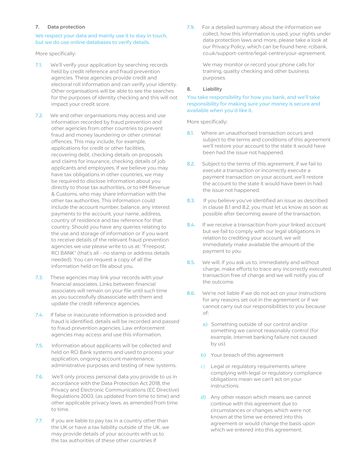#### 7. Data protection

## We respect your data and mainly use it to stay in touch, but we do use online databases to verify details.

More specifically:

- 7.1. We'll verify your application by searching records held by credit reference and fraud prevention agencies. These agencies provide credit and electoral roll information and can verify your identity. Other organisations will be able to see the searches for the purposes of identity checking and this will not impact your credit score.
- 7.2. We and other organisations may access and use information recorded by fraud prevention and other agencies from other countries to prevent fraud and money laundering or other criminal offences. This may include, for example, applications for credit or other facilities, recovering debt, checking details on proposals and claims for insurance, checking details of job applicants and employees. If we believe you may have tax obligations in other countries, we may be required to disclose information about you directly to those tax authorities, or to HM Revenue & Customs, who may share information with the other tax authorities. This information could include the account number, balance, any interest payments to the account, your name, address, country of residence and tax reference for that country. Should you have any queries relating to the use and storage of information or if you want to receive details of the relevant fraud prevention agencies we use please write to us at: "Freepost: RCI BANK" (that's all - no stamp or address details needed). You can request a copy of all the information held on file about you.
- 7.3. These agencies may link your records with your financial associates. Links between financial associates will remain on your file until such time as you successfully disassociate with them and update the credit reference agencies.
- 7.4. If false or inaccurate information is provided and fraud is identified, details will be recorded and passed to fraud prevention agencies. Law enforcement agencies may access and use this information.
- 7.5. Information about applicants will be collected and held on RCI Bank systems and used to process your application, ongoing account maintenance, administrative purposes and testing of new systems.
- 7.6. We'll only process personal data you provide to us in accordance with the Data Protection Act 2018, the Privacy and Electronic Communications (EC Directive) Regulations 2003, (as updated from time to time) and other applicable privacy laws, as amended from time to time.
- 7.7. If you are liable to pay tax in a country other than the UK or have a tax liability outside of the UK, we may provide details of your accounts with us to the tax authorities of these other countries if

7.9. For a detailed summary about the information we collect, how this information is used, your rights under data protection laws and more, please take a look at our Privacy Policy, which can be found here: rcibank. co.uk/support-centre/legal-centre/your-agreement.

> We may monitor or record your phone calls for training, quality checking and other business purposes.

#### 8. Liability

## You take responsibility for how you bank, and we'll take responsibility for making sure your money is secure and available when you'd like it.

More specifically:

- 8.1. Where an unauthorised transaction occurs and subject to the terms and conditions of this agreement we'll restore your account to the state it would have been had the issue not happened.
- 8.2. Subject to the terms of this agreement, if we fail to execute a transaction or incorrectly execute a payment transaction on your account, we'll restore the account to the state it would have been in had the issue not happened.
- 8.3. If you believe you've identified an issue as described in clause 8.1 and 8.2, you must let us know as soon as possible after becoming aware of the transaction.
- 8.4. If we receive a transaction from your linked account but we fail to comply with our legal obligations in relation to crediting your account, we will immediately make available the amount of the payment to you.
- 8.5. We will, if you ask us to, immediately and without charge, make efforts to trace any incorrectly executed transaction free of charge and we will notify you of the outcome.
- 8.6. We're not liable if we do not act on your instructions for any reasons set out in the agreement or if we cannot carry out our responsibilities to you because of:
	- a) Something outside of our control and/or something we cannot reasonably control (for example, internet banking failure not caused by us).
	- b) Your breach of this agreement
	- c) Legal or regulatory requirements where complying with legal or regulatory compliance obligations mean we can't act on your instructions.
	- d) Any other reason which means we cannot continue with this agreement due to circumstances or changes which were not known at the time we entered into this agreement or would change the basis upon which we entered into this agreement.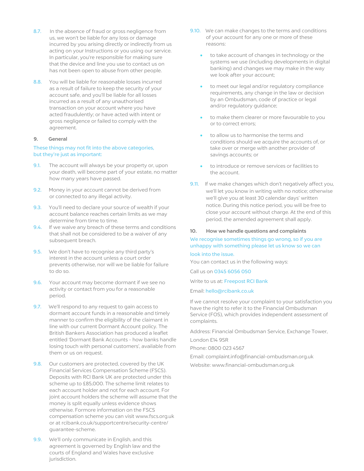- 8.7. In the absence of fraud or gross negligence from us, we won't be liable for any loss or damage incurred by you arising directly or indirectly from us acting on your Instructions or you using our service. In particular, you're responsible for making sure that the device and line you use to contact us on has not been open to abuse from other people.
- 8.8. You will be liable for reasonable losses incurred as a result of failure to keep the security of your account safe, and you'll be liable for all losses incurred as a result of any unauthorised transaction on your account where you have acted fraudulently; or have acted with intent or gross negligence or failed to comply with the agreement.

#### 9. General

# These things may not fit into the above categories, but they're just as important:

- 9.1. The account will always be your property or, upon your death, will become part of your estate, no matter how many years have passed.
- 9.2. Money in your account cannot be derived from or connected to any illegal activity.
- 9.3. You'll need to declare your source of wealth if your account balance reaches certain limits as we may determine from time to time.
- 9.4. If we waive any breach of these terms and conditions that shall not be considered to be a waiver of any subsequent breach.
- 9.5. We don't have to recognise any third party's interest in the account unless a court order prevents otherwise, nor will we be liable for failure to do so.
- 9.6. Your account may become dormant if we see no activity or contact from you for a reasonable period.
- 9.7. We'll respond to any request to gain access to dormant account funds in a reasonable and timely manner to confirm the eligibility of the claimant in line with our current Dormant Account policy. The British Bankers Association has produced a leaflet entitled 'Dormant Bank Accounts - how banks handle losing touch with personal customers', available from them or us on request.
- 9.8. Our customers are protected, covered by the UK Financial Services Compensation Scheme (FSCS). Deposits with RCI Bank UK are protected under this scheme up to £85,000. The scheme limit relates to each account holder and not for each account. For joint account holders the scheme will assume that the money is split equally unless evidence shows otherwise. Formore information on the FSCS compensation scheme you can visit www.fscs.org.uk or at rcibank.co.uk/supportcentre/security-centre/ guarantee-scheme.
- 9.9. We'll only communicate in English, and this agreement is governed by English law and the courts of England and Wales have exclusive jurisdiction.
- 9.10. We can make changes to the terms and conditions of your account for any one or more of these reasons:
	- to take account of changes in technology or the systems we use (including developments in digital banking) and changes we may make in the way we look after your account;
	- to meet our legal and/or regulatory compliance requirements, any change in the law or decision by an Ombudsman, code of practice or legal and/or regulatory guidance;
	- to make them clearer or more favourable to you or to correct errors;
	- to allow us to harmonise the terms and conditions should we acquire the accounts of, or take over or merge with another provider of savings accounts; or
	- to introduce or remove services or facilities to the account.
- 9.11. If we make changes which don't negatively affect you, we'll let you know in writing with no notice; otherwise we'll give you at least 30 calendar days' written notice. During this notice period, you will be free to close your account without charge. At the end of this period, the amended agreement shall apply.

#### 10. How we handle questions and complaints

# We recognise sometimes things go wrong, so if you are unhappy with something please let us know so we can look into the issue.

You can contact us in the following ways:

Call us on 0345 6056 050

Write to us at: Freepost RCI Bank

Email: hello@rcibank.co.uk

If we cannot resolve your complaint to your satisfaction you have the right to refer it to the Financial Ombudsman Service (FOS), which provides independent assessment of complaints.

Address: Financial Ombudsman Service, Exchange Tower,

London E14 9SR

Phone: 0800 023 4567

Email: complaint.info@financial-ombudsman.org.uk Website: www.financial-ombudsman.org.uk